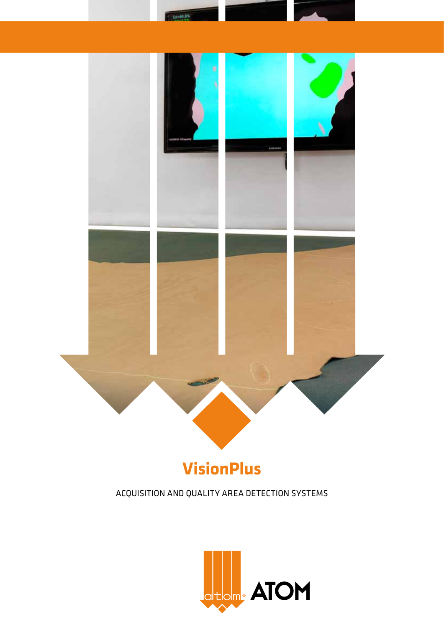

ar m

# **VisionPlus**

ACQUISITION AND QUALITY AREA DETECTION SYSTEMS

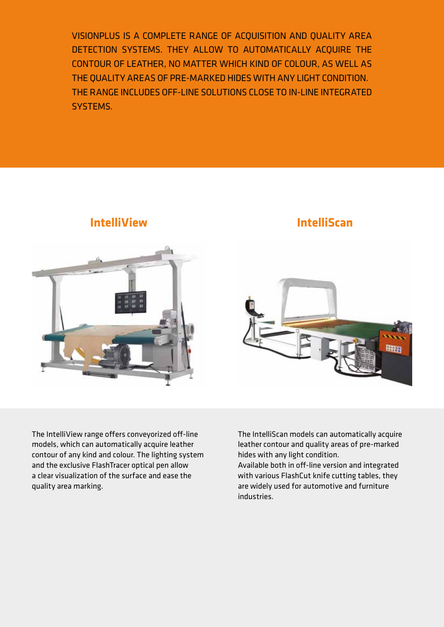VisionPlus is a complete range of acquisition and quality area detection systems. they allow to automatically acquire the contour of leather, no matter which kind of colour, as well as the quality areas of pre-marked hides with any light condition. the range includes off-line solutions close to in-line integrated systems.



**IntelliView**

# **IntelliScan**



The IntelliView range offers conveyorized off-line models, which can automatically acquire leather contour of any kind and colour. The lighting system and the exclusive FlashTracer optical pen allow a clear visualization of the surface and ease the quality area marking.

The IntelliScan models can automatically acquire leather contour and quality areas of pre-marked hides with any light condition.

Available both in off-line version and integrated with various FlashCut knife cutting tables, they are widely used for automotive and furniture industries.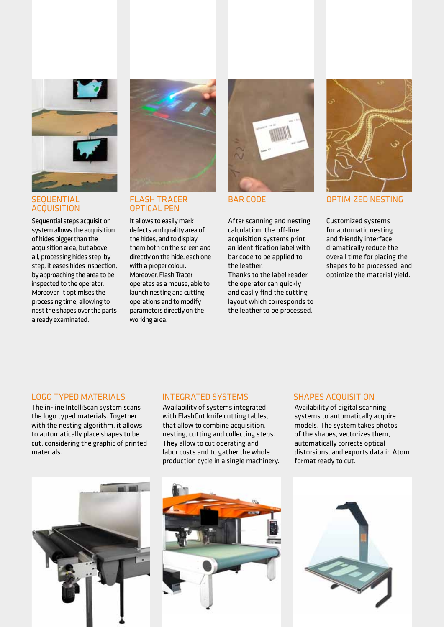

#### **SEQUENTIAL ACQUISITION**

Sequential steps acquisition system allows the acquisition of hides bigger than the acquisition area, but above all, processing hides step-bystep, it eases hides inspection, by approaching the area to be inspected to the operator. Moreover, it optimises the processing time, allowing to nest the shapes over the parts already examinated.



### flash tracer OPTICAL PEN

It allows to easily mark defects and quality area of the hides, and to display them both on the screen and directly on the hide, each one with a proper colour. Moreover, Flash Tracer operates as a mouse, able to launch nesting and cutting operations and to modify parameters directly on the working area.



After scanning and nesting calculation, the off-line acquisition systems print an identification label with bar code to be applied to the leather.

Thanks to the label reader the operator can quickly and easily find the cutting layout which corresponds to the leather to be processed.



BAR CODE OPTIMIZED NESTING

Customized systems for automatic nesting and friendly interface dramatically reduce the overall time for placing the shapes to be processed, and optimize the material yield.

## LOGO TYPED MATERIAI S

The in-line IntelliScan system scans the logo typed materials. Together with the nesting algorithm, it allows to automatically place shapes to be cut, considering the graphic of printed materials.



#### INTEGRATED SYSTEMS

Availability of systems integrated with FlashCut knife cutting tables, that allow to combine acquisition, nesting, cutting and collecting steps. They allow to cut operating and labor costs and to gather the whole production cycle in a single machinery.



#### SHAPES ACQUISITION

Availability of digital scanning systems to automatically acquire models. The system takes photos of the shapes, vectorizes them, automatically corrects optical distorsions, and exports data in Atom format ready to cut.